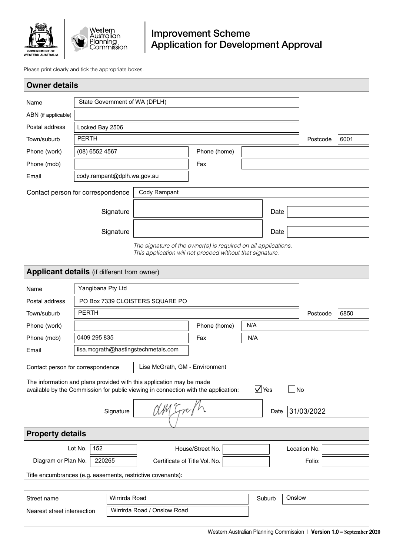

Please print clearly and tick the appropriate boxes.

| <b>Owner details</b>                                                                                                                                                              |                                                            |               |                                                                                                                             |                  |     |        |        |              |      |
|-----------------------------------------------------------------------------------------------------------------------------------------------------------------------------------|------------------------------------------------------------|---------------|-----------------------------------------------------------------------------------------------------------------------------|------------------|-----|--------|--------|--------------|------|
| Name                                                                                                                                                                              | State Government of WA (DPLH)                              |               |                                                                                                                             |                  |     |        |        |              |      |
| ABN (if applicable)                                                                                                                                                               |                                                            |               |                                                                                                                             |                  |     |        |        |              |      |
| Postal address                                                                                                                                                                    | Locked Bay 2506                                            |               |                                                                                                                             |                  |     |        |        |              |      |
| Town/suburb                                                                                                                                                                       | <b>PERTH</b>                                               |               |                                                                                                                             |                  |     |        |        | Postcode     | 6001 |
| Phone (work)                                                                                                                                                                      | (08) 6552 4567                                             |               |                                                                                                                             | Phone (home)     |     |        |        |              |      |
| Phone (mob)                                                                                                                                                                       |                                                            |               |                                                                                                                             | Fax              |     |        |        |              |      |
| Email                                                                                                                                                                             | cody.rampant@dplh.wa.gov.au                                |               |                                                                                                                             |                  |     |        |        |              |      |
| Contact person for correspondence                                                                                                                                                 |                                                            |               | Cody Rampant                                                                                                                |                  |     |        |        |              |      |
|                                                                                                                                                                                   |                                                            | Signature     |                                                                                                                             |                  |     | Date   |        |              |      |
|                                                                                                                                                                                   |                                                            |               |                                                                                                                             |                  |     |        |        |              |      |
|                                                                                                                                                                                   |                                                            | Signature     |                                                                                                                             |                  |     | Date   |        |              |      |
|                                                                                                                                                                                   |                                                            |               | The signature of the owner(s) is required on all applications.<br>This application will not proceed without that signature. |                  |     |        |        |              |      |
| Applicant details (if different from owner)                                                                                                                                       |                                                            |               |                                                                                                                             |                  |     |        |        |              |      |
|                                                                                                                                                                                   |                                                            |               |                                                                                                                             |                  |     |        |        |              |      |
| Name                                                                                                                                                                              | Yangibana Pty Ltd                                          |               |                                                                                                                             |                  |     |        |        |              |      |
| Postal address                                                                                                                                                                    |                                                            |               | PO Box 7339 CLOISTERS SQUARE PO                                                                                             |                  |     |        |        |              |      |
| Town/suburb                                                                                                                                                                       | <b>PERTH</b>                                               |               |                                                                                                                             |                  |     |        |        | Postcode     | 6850 |
| Phone (work)                                                                                                                                                                      |                                                            |               |                                                                                                                             | Phone (home)     | N/A |        |        |              |      |
| Phone (mob)                                                                                                                                                                       | 0409 295 835                                               |               |                                                                                                                             | Fax              | N/A |        |        |              |      |
|                                                                                                                                                                                   | lisa.mcgrath@hastingstechmetals.com<br>Email               |               |                                                                                                                             |                  |     |        |        |              |      |
| Lisa McGrath, GM - Environment<br>Contact person for correspondence                                                                                                               |                                                            |               |                                                                                                                             |                  |     |        |        |              |      |
| The information and plans provided with this application may be made<br>$\sqrt{}$ Yes<br>No<br>available by the Commission for public viewing in connection with the application: |                                                            |               |                                                                                                                             |                  |     |        |        |              |      |
|                                                                                                                                                                                   |                                                            | Signature     | am Erri                                                                                                                     |                  |     | Date   |        | 31/03/2022   |      |
| <b>Property details</b>                                                                                                                                                           |                                                            |               |                                                                                                                             |                  |     |        |        |              |      |
|                                                                                                                                                                                   | Lot No.<br>152                                             |               |                                                                                                                             | House/Street No. |     |        |        | Location No. |      |
| Diagram or Plan No.<br>220265                                                                                                                                                     |                                                            |               | Certificate of Title Vol. No.                                                                                               |                  |     |        |        | Folio:       |      |
| Title encumbrances (e.g. easements, restrictive covenants):                                                                                                                       |                                                            |               |                                                                                                                             |                  |     |        |        |              |      |
|                                                                                                                                                                                   |                                                            |               |                                                                                                                             |                  |     |        |        |              |      |
| Street name                                                                                                                                                                       |                                                            | Wirrirda Road |                                                                                                                             |                  |     | Suburb | Onslow |              |      |
|                                                                                                                                                                                   | Wirrirda Road / Onslow Road<br>Nearest street intersection |               |                                                                                                                             |                  |     |        |        |              |      |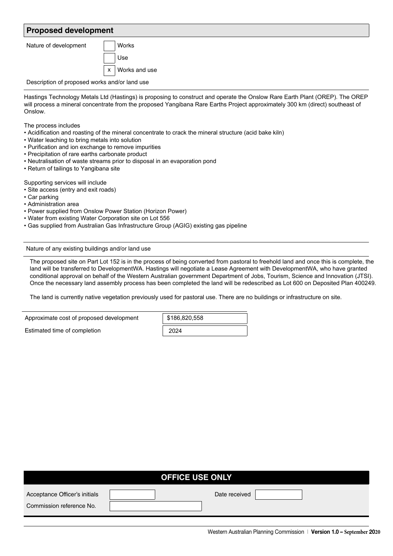## **Proposed development**

Nature of development | | Works

Use Works and use x

Description of proposed works and/or land use

Hastings Technology Metals Ltd (Hastings) is proposing to construct and operate the Onslow Rare Earth Plant (OREP). The OREP will process a mineral concentrate from the proposed Yangibana Rare Earths Project approximately 300 km (direct) southeast of Onslow.

The process includes

- Acidification and roasting of the mineral concentrate to crack the mineral structure (acid bake kiln)
- Water leaching to bring metals into solution
- Purification and ion exchange to remove impurities
- Precipitation of rare earths carbonate product
- Neutralisation of waste streams prior to disposal in an evaporation pond
- Return of tailings to Yangibana site

Supporting services will include

- Site access (entry and exit roads)
- Car parking
- Administration area
- Power supplied from Onslow Power Station (Horizon Power)
- Water from existing Water Corporation site on Lot 556
- Gas supplied from Australian Gas Infrastructure Group (AGIG) existing gas pipeline

Nature of any existing buildings and/or land use

The proposed site on Part Lot 152 is in the process of being converted from pastoral to freehold land and once this is complete, the land will be transferred to DevelopmentWA. Hastings will negotiate a Lease Agreement with DevelopmentWA, who have granted conditional approval on behalf of the Western Australian government Department of Jobs, Tourism, Science and Innovation (JTSI). Once the necessary land assembly process has been completed the land will be redescribed as Lot 600 on Deposited Plan 400249.

The land is currently native vegetation previously used for pastoral use. There are no buildings or infrastructure on site.

| Approximate cost of proposed development | \$186,820,558 |  |  |
|------------------------------------------|---------------|--|--|
| Estimated time of completion             | 2024          |  |  |

| <b>OFFICE USE ONLY</b>                                    |  |               |  |  |  |  |
|-----------------------------------------------------------|--|---------------|--|--|--|--|
| Acceptance Officer's initials<br>Commission reference No. |  | Date received |  |  |  |  |